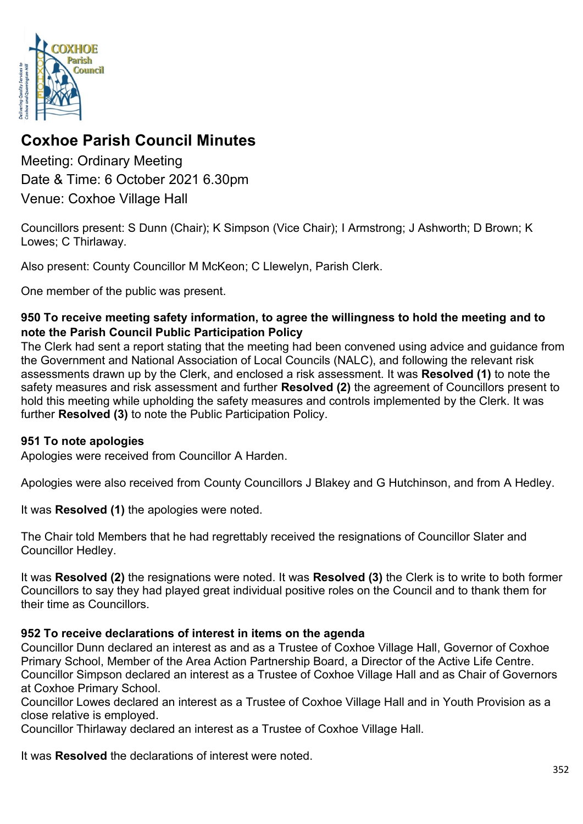

# **Coxhoe Parish Council Minutes**

Meeting: Ordinary Meeting Date & Time: 6 October 2021 6.30pm Venue: Coxhoe Village Hall

Councillors present: S Dunn (Chair); K Simpson (Vice Chair); I Armstrong; J Ashworth; D Brown; K Lowes; C Thirlaway.

Also present: County Councillor M McKeon; C Llewelyn, Parish Clerk.

One member of the public was present.

## **950 To receive meeting safety information, to agree the willingness to hold the meeting and to note the [Parish Council Public Participation Policy](http://coxhoeparishcouncil.gov.uk/important-documents-and-policies/public-participation-policy-fmarch-2020-review-date-march-2022/)**

The Clerk had sent a report stating that the meeting had been convened using advice and guidance from the Government and National Association of Local Councils (NALC), and following the relevant risk assessments drawn up by the Clerk, and enclosed a risk assessment. It was **Resolved (1)** to note the safety measures and risk assessment and further **Resolved (2)** the agreement of Councillors present to hold this meeting while upholding the safety measures and controls implemented by the Clerk. It was further **Resolved (3)** to note the Public Participation Policy.

## **951 To note apologies**

Apologies were received from Councillor A Harden.

Apologies were also received from County Councillors J Blakey and G Hutchinson, and from A Hedley.

It was **Resolved (1)** the apologies were noted.

The Chair told Members that he had regrettably received the resignations of Councillor Slater and Councillor Hedley.

It was **Resolved (2)** the resignations were noted. It was **Resolved (3)** the Clerk is to write to both former Councillors to say they had played great individual positive roles on the Council and to thank them for their time as Councillors.

## **952 To receive declarations of interest in items on the agenda**

Councillor Dunn declared an interest as and as a Trustee of Coxhoe Village Hall, Governor of Coxhoe Primary School, Member of the Area Action Partnership Board, a Director of the Active Life Centre. Councillor Simpson declared an interest as a Trustee of Coxhoe Village Hall and as Chair of Governors at Coxhoe Primary School.

Councillor Lowes declared an interest as a Trustee of Coxhoe Village Hall and in Youth Provision as a close relative is employed.

Councillor Thirlaway declared an interest as a Trustee of Coxhoe Village Hall.

It was **Resolved** the declarations of interest were noted.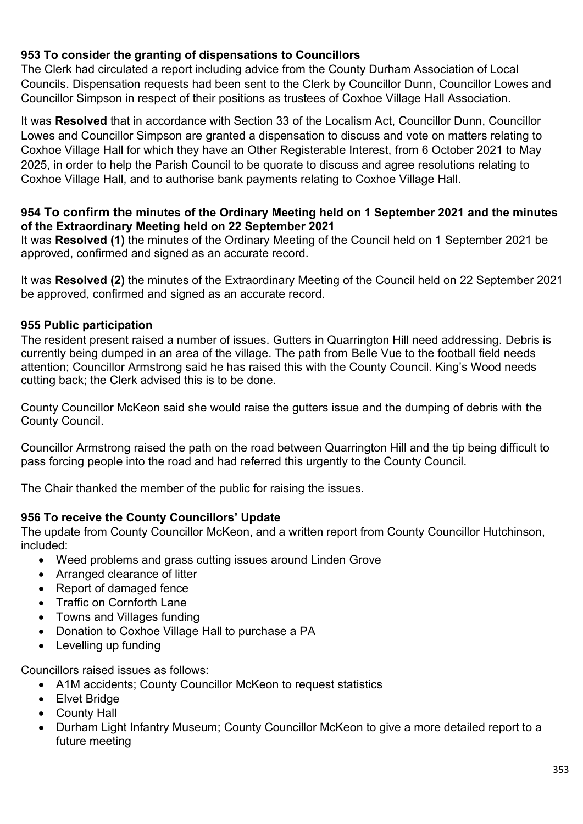# **953 To consider the granting of dispensations to Councillors**

The Clerk had circulated a report including advice from the County Durham Association of Local Councils. Dispensation requests had been sent to the Clerk by Councillor Dunn, Councillor Lowes and Councillor Simpson in respect of their positions as trustees of Coxhoe Village Hall Association.

It was **Resolved** that in accordance with Section 33 of the Localism Act, Councillor Dunn, Councillor Lowes and Councillor Simpson are granted a dispensation to discuss and vote on matters relating to Coxhoe Village Hall for which they have an Other Registerable Interest, from 6 October 2021 to May 2025, in order to help the Parish Council to be quorate to discuss and agree resolutions relating to Coxhoe Village Hall, and to authorise bank payments relating to Coxhoe Village Hall.

#### **954 To confirm the [minutes of the Ordinary Meeting held on 1 September 2021](https://1drv.ms/b/s!Alg_TKmu7xwUgcdUcHk4uavtrCoE8g?e=bvPMPc) and the minutes of the Extraordinary Meeting held on 22 September 2021**

It was **Resolved (1)** the minutes of the Ordinary Meeting of the Council held on 1 September 2021 be approved, confirmed and signed as an accurate record.

It was **Resolved (2)** the minutes of the Extraordinary Meeting of the Council held on 22 September 2021 be approved, confirmed and signed as an accurate record.

#### **955 Public participation**

The resident present raised a number of issues. Gutters in Quarrington Hill need addressing. Debris is currently being dumped in an area of the village. The path from Belle Vue to the football field needs attention; Councillor Armstrong said he has raised this with the County Council. King's Wood needs cutting back; the Clerk advised this is to be done.

County Councillor McKeon said she would raise the gutters issue and the dumping of debris with the County Council.

Councillor Armstrong raised the path on the road between Quarrington Hill and the tip being difficult to pass forcing people into the road and had referred this urgently to the County Council.

The Chair thanked the member of the public for raising the issues.

## **956 To receive the County Councillors' Update**

The update from County Councillor McKeon, and a written report from County Councillor Hutchinson, included:

- Weed problems and grass cutting issues around Linden Grove
- Arranged clearance of litter
- Report of damaged fence
- Traffic on Cornforth Lane
- Towns and Villages funding
- Donation to Coxhoe Village Hall to purchase a PA
- Levelling up funding

Councillors raised issues as follows:

- A1M accidents; County Councillor McKeon to request statistics
- Elvet Bridge
- County Hall
- Durham Light Infantry Museum; County Councillor McKeon to give a more detailed report to a future meeting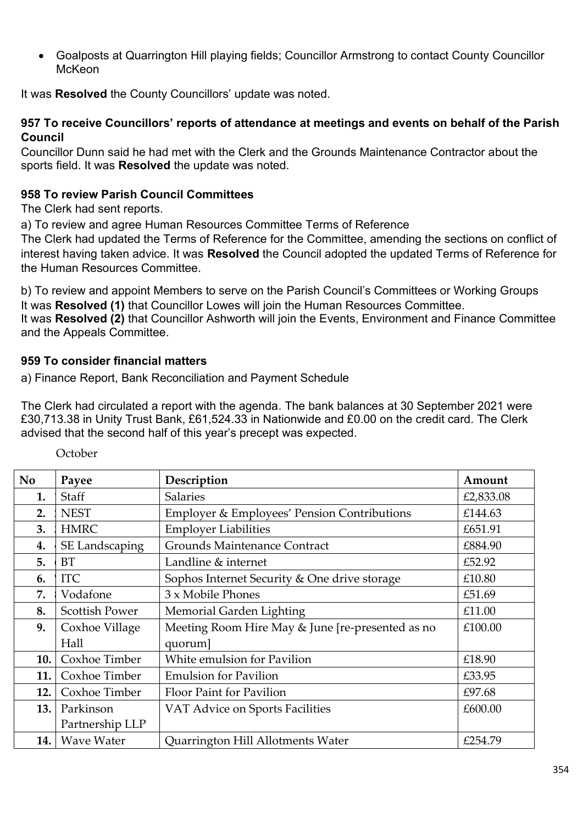• Goalposts at Quarrington Hill playing fields; Councillor Armstrong to contact County Councillor McKeon

It was **Resolved** the County Councillors' update was noted.

#### **957 To receive Councillors' reports of attendance at meetings and events on behalf of the Parish Council**

Councillor Dunn said he had met with the Clerk and the Grounds Maintenance Contractor about the sports field. It was **Resolved** the update was noted.

## **958 To review Parish Council Committees**

The Clerk had sent reports.

a) To review and agree Human Resources Committee Terms of Reference

The Clerk had updated the Terms of Reference for the Committee, amending the sections on conflict of interest having taken advice. It was **Resolved** the Council adopted the updated Terms of Reference for the Human Resources Committee.

b) To review and appoint Members to serve on the Parish Council's Committees or Working Groups It was **Resolved (1)** that Councillor Lowes will join the Human Resources Committee. It was **Resolved (2)** that Councillor Ashworth will join the Events, Environment and Finance Committee and the Appeals Committee.

## **959 To consider financial matters**

a) Finance Report, Bank Reconciliation and Payment Schedule

The Clerk had circulated a report with the agenda. The bank balances at 30 September 2021 were £30,713.38 in Unity Trust Bank, £61,524.33 in Nationwide and £0.00 on the credit card. The Clerk advised that the second half of this year's precept was expected.

| <b>No</b> | Payee                 | Description                                      | Amount    |
|-----------|-----------------------|--------------------------------------------------|-----------|
| 1.        | Staff                 | <b>Salaries</b>                                  | £2,833.08 |
| 2.        | <b>NEST</b>           | Employer & Employees' Pension Contributions      | £144.63   |
| 3.        | <b>HMRC</b>           | <b>Employer Liabilities</b>                      | £651.91   |
| 4.        | SE Landscaping        | <b>Grounds Maintenance Contract</b>              | £884.90   |
| 5.        | <b>BT</b>             | Landline & internet                              | £52.92    |
| 6.        | <b>ITC</b>            | Sophos Internet Security & One drive storage     | £10.80    |
| 7.        | Vodafone              | 3 x Mobile Phones                                | £51.69    |
| 8.        | <b>Scottish Power</b> | Memorial Garden Lighting                         | £11.00    |
| 9.        | Coxhoe Village        | Meeting Room Hire May & June [re-presented as no | £100.00   |
|           | Hall                  | quorum]                                          |           |
| 10.       | Coxhoe Timber         | White emulsion for Pavilion                      | £18.90    |
| 11.       | Coxhoe Timber         | <b>Emulsion for Pavilion</b>                     | £33.95    |
| 12.       | Coxhoe Timber         | Floor Paint for Pavilion                         | £97.68    |
| 13.       | Parkinson             | VAT Advice on Sports Facilities                  | £600.00   |
|           | Partnership LLP       |                                                  |           |
| 14.       | <b>Wave Water</b>     | Quarrington Hill Allotments Water                | £254.79   |

October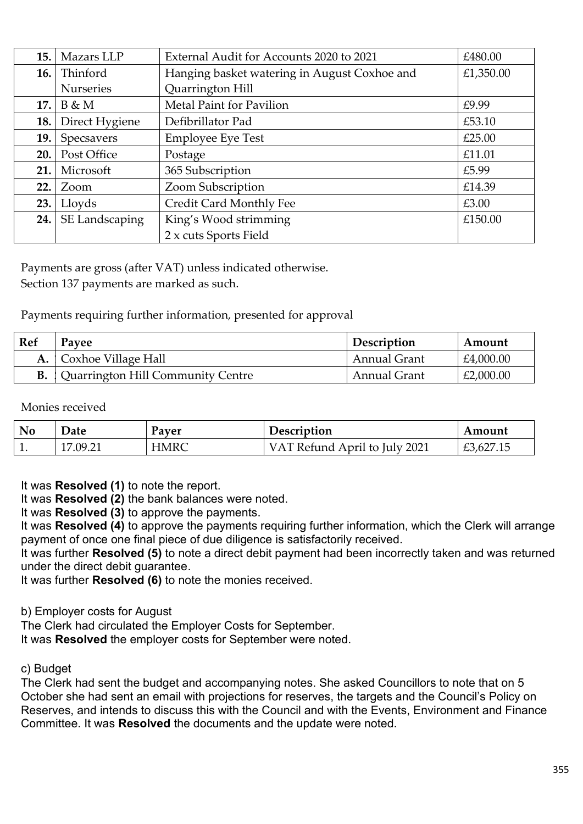| 15.  | Mazars LLP       | External Audit for Accounts 2020 to 2021     | £480.00   |
|------|------------------|----------------------------------------------|-----------|
| 16.  | Thinford         | Hanging basket watering in August Coxhoe and | £1,350.00 |
|      | <b>Nurseries</b> | Quarrington Hill                             |           |
| 17.  | B & M            | Metal Paint for Pavilion                     | £9.99     |
| 18.  | Direct Hygiene   | Defibrillator Pad                            | £53.10    |
| 19.  | Specsavers       | <b>Employee Eye Test</b>                     | £25.00    |
| 20.  | Post Office      | Postage                                      | £11.01    |
| 21.  | Microsoft        | 365 Subscription                             | £5.99     |
| 22.  | Zoom             | Zoom Subscription                            | £14.39    |
| 23.1 | Lloyds           | Credit Card Monthly Fee                      | £3.00     |
| 24.1 | SE Landscaping   | King's Wood strimming                        | £150.00   |
|      |                  | 2 x cuts Sports Field                        |           |

Payments are gross (after VAT) unless indicated otherwise. Section 137 payments are marked as such.

Payments requiring further information, presented for approval

| Ref | Pavee                                       | Description         | Amount    |
|-----|---------------------------------------------|---------------------|-----------|
|     | <b>A.</b>   Coxhoe Village Hall             | <b>Annual Grant</b> | £4,000.00 |
|     | <b>B.</b> Quarrington Hill Community Centre | <b>Annual Grant</b> | £2,000.00 |

Monies received

| <b>No</b> | Date              | Payer | Description               | Amount    |
|-----------|-------------------|-------|---------------------------|-----------|
| π.        | 17 OQ 21<br>.7.41 | HMRC  | Refund April to July 2021 | £3,627.15 |

It was **Resolved (1)** to note the report.

It was **Resolved (2)** the bank balances were noted.

It was **Resolved (3)** to approve the payments.

It was **Resolved (4)** to approve the payments requiring further information, which the Clerk will arrange payment of once one final piece of due diligence is satisfactorily received.

It was further **Resolved (5)** to note a direct debit payment had been incorrectly taken and was returned under the direct debit guarantee.

It was further **Resolved (6)** to note the monies received.

b) Employer costs for August

The Clerk had circulated the Employer Costs for September.

It was **Resolved** the employer costs for September were noted.

c) Budget

The Clerk had sent the budget and accompanying notes. She asked Councillors to note that on 5 October she had sent an email with projections for reserves, the targets and the Council's Policy on Reserves, and intends to discuss this with the Council and with the Events, Environment and Finance Committee. It was **Resolved** the documents and the update were noted.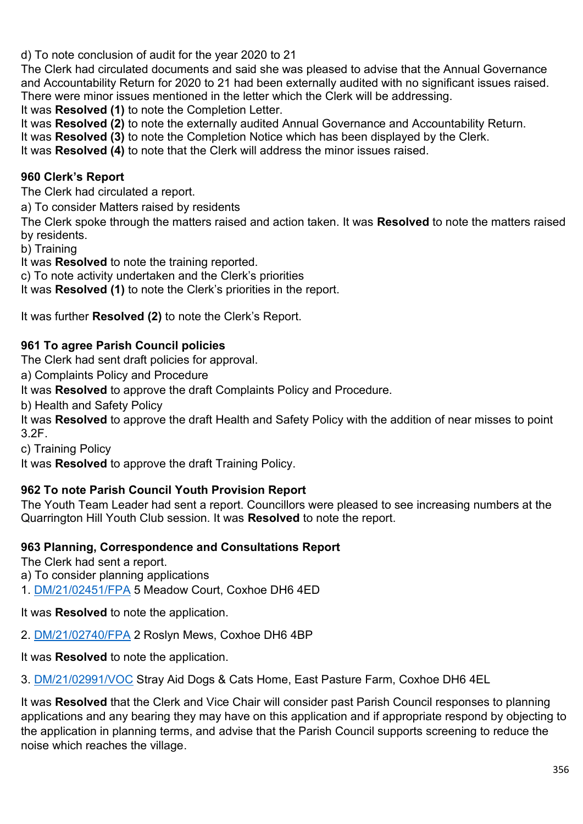d) To note conclusion of audit for the year 2020 to 21

The Clerk had circulated documents and said she was pleased to advise that the Annual Governance and Accountability Return for 2020 to 21 had been externally audited with no significant issues raised. There were minor issues mentioned in the letter which the Clerk will be addressing.

It was **Resolved (1)** to note the Completion Letter.

It was **Resolved (2)** to note the externally audited Annual Governance and Accountability Return.

It was **Resolved (3)** to note the Completion Notice which has been displayed by the Clerk.

It was **Resolved (4)** to note that the Clerk will address the minor issues raised.

# **960 Clerk's Report**

The Clerk had circulated a report.

a) To consider Matters raised by residents

The Clerk spoke through the matters raised and action taken. It was **Resolved** to note the matters raised by residents.

b) Training

It was **Resolved** to note the training reported.

c) To note activity undertaken and the Clerk's priorities

It was **Resolved (1)** to note the Clerk's priorities in the report.

It was further **Resolved (2)** to note the Clerk's Report.

## **961 To agree Parish Council policies**

The Clerk had sent draft policies for approval.

a) Complaints Policy and Procedure

It was **Resolved** to approve the draft Complaints Policy and Procedure.

b) Health and Safety Policy

It was **Resolved** to approve the draft Health and Safety Policy with the addition of near misses to point 3.2F.

c) Training Policy

It was **Resolved** to approve the draft Training Policy.

## **962 To note Parish Council Youth Provision Report**

The Youth Team Leader had sent a report. Councillors were pleased to see increasing numbers at the Quarrington Hill Youth Club session. It was **Resolved** to note the report.

## **963 Planning, Correspondence and Consultations Report**

The Clerk had sent a report.

a) To consider planning applications

1. [DM/21/02451/FPA](https://publicaccess.durham.gov.uk/online-applications/applicationDetails.do?activeTab=documents&keyVal=QVV3F8GDH2900) 5 Meadow Court, Coxhoe DH6 4ED

It was **Resolved** to note the application.

2. [DM/21/02740/FPA](https://publicaccess.durham.gov.uk/online-applications/applicationDetails.do?activeTab=documents&keyVal=QX2B0BGDHIT00) 2 Roslyn Mews, Coxhoe DH6 4BP

It was **Resolved** to note the application.

3. [DM/21/02991/VOC](https://publicaccess.durham.gov.uk/online-applications/applicationDetails.do?activeTab=documents&keyVal=QYCAJWGDHWO00) Stray Aid Dogs & Cats Home, East Pasture Farm, Coxhoe DH6 4EL

It was **Resolved** that the Clerk and Vice Chair will consider past Parish Council responses to planning applications and any bearing they may have on this application and if appropriate respond by objecting to the application in planning terms, and advise that the Parish Council supports screening to reduce the noise which reaches the village.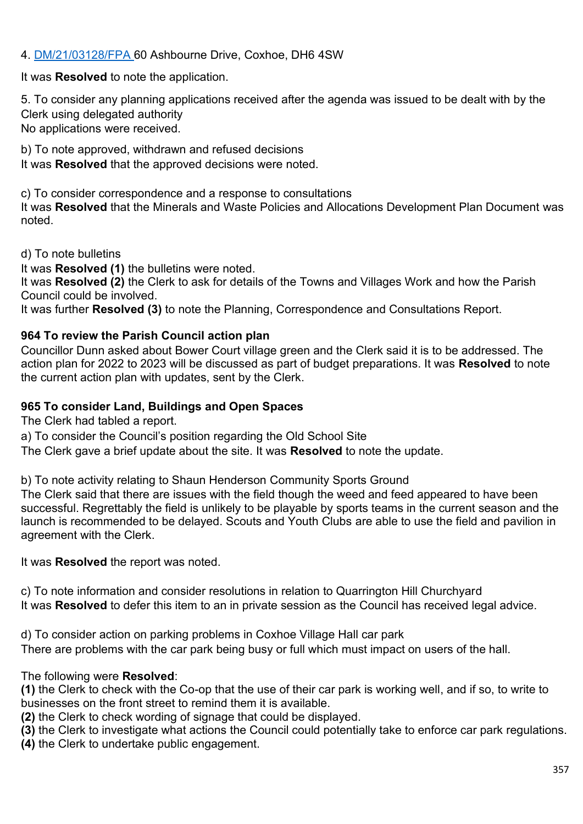# 4. [DM/21/03128/FPA](https://publicaccess.durham.gov.uk/online-applications/applicationDetails.do?activeTab=summary&keyVal=QZ3RG0GDI5000) 60 Ashbourne Drive, Coxhoe, DH6 4SW

It was **Resolved** to note the application.

5. To consider any planning applications received after the agenda was issued to be dealt with by the Clerk using delegated authority No applications were received.

b) To note approved, withdrawn and refused decisions It was **Resolved** that the approved decisions were noted.

c) To consider correspondence and a response to consultations It was **Resolved** that the Minerals and Waste Policies and Allocations Development Plan Document was noted.

d) To note bulletins

It was **Resolved (1)** the bulletins were noted.

It was **Resolved (2)** the Clerk to ask for details of the Towns and Villages Work and how the Parish Council could be involved.

It was further **Resolved (3)** to note the Planning, Correspondence and Consultations Report.

#### **964 To review the Parish Council action plan**

Councillor Dunn asked about Bower Court village green and the Clerk said it is to be addressed. The action plan for 2022 to 2023 will be discussed as part of budget preparations. It was **Resolved** to note the current action plan with updates, sent by the Clerk.

#### **965 To consider Land, Buildings and Open Spaces**

The Clerk had tabled a report.

a) To consider the Council's position regarding the Old School Site

The Clerk gave a brief update about the site. It was **Resolved** to note the update.

b) To note activity relating to Shaun Henderson Community Sports Ground

The Clerk said that there are issues with the field though the weed and feed appeared to have been successful. Regrettably the field is unlikely to be playable by sports teams in the current season and the launch is recommended to be delayed. Scouts and Youth Clubs are able to use the field and pavilion in agreement with the Clerk.

It was **Resolved** the report was noted.

c) To note information and consider resolutions in relation to Quarrington Hill Churchyard It was **Resolved** to defer this item to an in private session as the Council has received legal advice.

d) To consider action on parking problems in Coxhoe Village Hall car park There are problems with the car park being busy or full which must impact on users of the hall.

The following were **Resolved**:

**(1)** the Clerk to check with the Co-op that the use of their car park is working well, and if so, to write to businesses on the front street to remind them it is available.

**(2)** the Clerk to check wording of signage that could be displayed.

**(3)** the Clerk to investigate what actions the Council could potentially take to enforce car park regulations.

**(4)** the Clerk to undertake public engagement.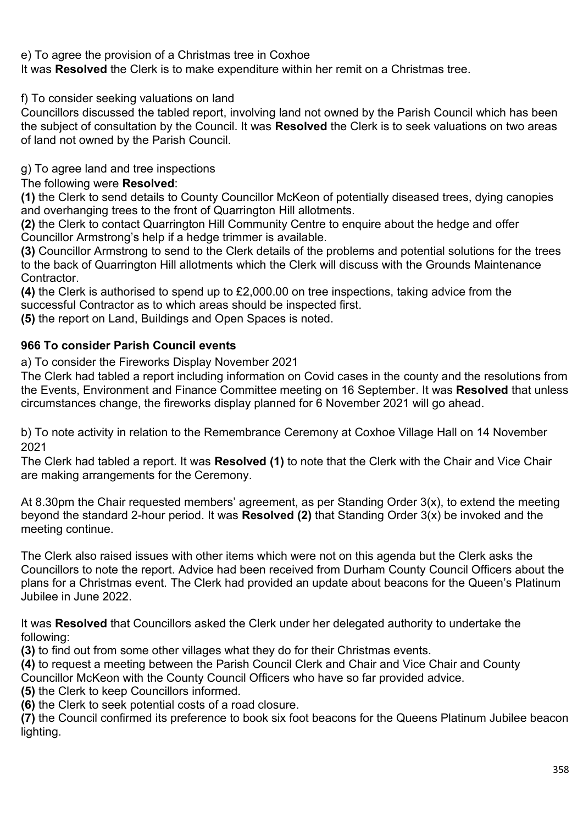e) To agree the provision of a Christmas tree in Coxhoe

It was **Resolved** the Clerk is to make expenditure within her remit on a Christmas tree.

f) To consider seeking valuations on land

Councillors discussed the tabled report, involving land not owned by the Parish Council which has been the subject of consultation by the Council. It was **Resolved** the Clerk is to seek valuations on two areas of land not owned by the Parish Council.

g) To agree land and tree inspections

The following were **Resolved**:

**(1)** the Clerk to send details to County Councillor McKeon of potentially diseased trees, dying canopies and overhanging trees to the front of Quarrington Hill allotments.

**(2)** the Clerk to contact Quarrington Hill Community Centre to enquire about the hedge and offer Councillor Armstrong's help if a hedge trimmer is available.

**(3)** Councillor Armstrong to send to the Clerk details of the problems and potential solutions for the trees to the back of Quarrington Hill allotments which the Clerk will discuss with the Grounds Maintenance Contractor.

**(4)** the Clerk is authorised to spend up to £2,000.00 on tree inspections, taking advice from the successful Contractor as to which areas should be inspected first.

**(5)** the report on Land, Buildings and Open Spaces is noted.

# **966 To consider Parish Council events**

a) To consider the Fireworks Display November 2021

The Clerk had tabled a report including information on Covid cases in the county and the resolutions from the Events, Environment and Finance Committee meeting on 16 September. It was **Resolved** that unless circumstances change, the fireworks display planned for 6 November 2021 will go ahead.

b) To note activity in relation to the Remembrance Ceremony at Coxhoe Village Hall on 14 November 2021

The Clerk had tabled a report. It was **Resolved (1)** to note that the Clerk with the Chair and Vice Chair are making arrangements for the Ceremony.

At 8.30pm the Chair requested members' agreement, as per Standing Order 3(x), to extend the meeting beyond the standard 2-hour period. It was **Resolved (2)** that Standing Order 3(x) be invoked and the meeting continue.

The Clerk also raised issues with other items which were not on this agenda but the Clerk asks the Councillors to note the report. Advice had been received from Durham County Council Officers about the plans for a Christmas event. The Clerk had provided an update about beacons for the Queen's Platinum Jubilee in June 2022.

It was **Resolved** that Councillors asked the Clerk under her delegated authority to undertake the following:

**(3)** to find out from some other villages what they do for their Christmas events.

**(4)** to request a meeting between the Parish Council Clerk and Chair and Vice Chair and County Councillor McKeon with the County Council Officers who have so far provided advice.

**(5)** the Clerk to keep Councillors informed.

**(6)** the Clerk to seek potential costs of a road closure.

**(7)** the Council confirmed its preference to book six foot beacons for the Queens Platinum Jubilee beacon lighting.